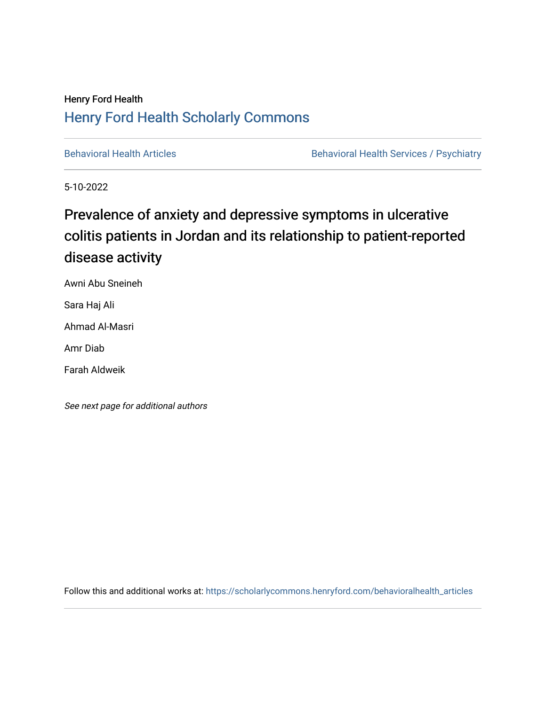### Henry Ford Health [Henry Ford Health Scholarly Commons](https://scholarlycommons.henryford.com/)

[Behavioral Health Articles](https://scholarlycommons.henryford.com/behavioralhealth_articles) **Behavioral Health Services / Psychiatry** Behavioral Health Services / Psychiatry

5-10-2022

## Prevalence of anxiety and depressive symptoms in ulcerative colitis patients in Jordan and its relationship to patient-reported disease activity

Awni Abu Sneineh

Sara Haj Ali

Ahmad Al-Masri

Amr Diab

Farah Aldweik

See next page for additional authors

Follow this and additional works at: [https://scholarlycommons.henryford.com/behavioralhealth\\_articles](https://scholarlycommons.henryford.com/behavioralhealth_articles?utm_source=scholarlycommons.henryford.com%2Fbehavioralhealth_articles%2F113&utm_medium=PDF&utm_campaign=PDFCoverPages)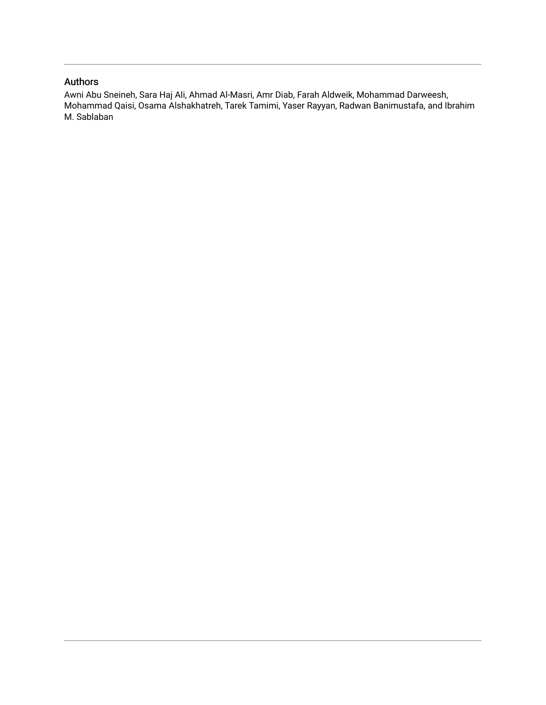### Authors

Awni Abu Sneineh, Sara Haj Ali, Ahmad Al-Masri, Amr Diab, Farah Aldweik, Mohammad Darweesh, Mohammad Qaisi, Osama Alshakhatreh, Tarek Tamimi, Yaser Rayyan, Radwan Banimustafa, and Ibrahim M. Sablaban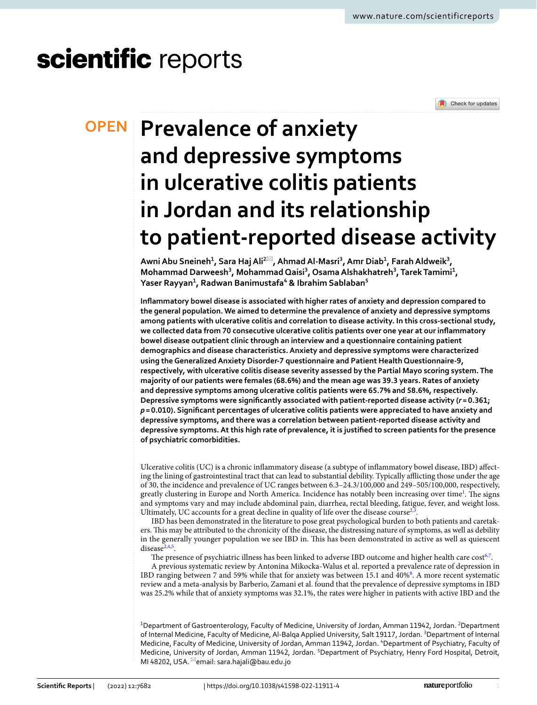# scientific reports



# **Prevalence of anxiety OPEN and depressive symptoms in ulcerative colitis patients in Jordan and its relationship to patient‑reported disease activity**

**Awni Abu Sneineh<sup>1</sup>, Sara Haj Ali<sup>2⊠</sup>, Ahmad Al-Masri<sup>3</sup>, Amr Diab<sup>1</sup>, Farah Aldweik<sup>3</sup>,** Mohammad Darweesh<sup>3</sup>, Mohammad Qaisi<sup>3</sup>, Osama Alshakhatreh<sup>3</sup>, Tarek Tamimi<sup>1</sup>, **Yaser Rayyan1 , Radwan Banimustafa4 & Ibrahim Sablaban5**

**Infammatory bowel disease is associated with higher rates of anxiety and depression compared to the general population. We aimed to determine the prevalence of anxiety and depressive symptoms among patients with ulcerative colitis and correlation to disease activity. In this cross-sectional study, we collected data from 70 consecutive ulcerative colitis patients over one year at our infammatory bowel disease outpatient clinic through an interview and a questionnaire containing patient demographics and disease characteristics. Anxiety and depressive symptoms were characterized using the Generalized Anxiety Disorder-7 questionnaire and Patient Health Questionnaire-9, respectively, with ulcerative colitis disease severity assessed by the Partial Mayo scoring system. The majority of our patients were females (68.6%) and the mean age was 39.3 years. Rates of anxiety and depressive symptoms among ulcerative colitis patients were 65.7% and 58.6%, respectively. Depressive symptoms were signifcantly associated with patient-reported disease activity (***r***= 0.361;**  *p* **= 0.010). Signifcant percentages of ulcerative colitis patients were appreciated to have anxiety and depressive symptoms, and there was a correlation between patient-reported disease activity and depressive symptoms. At this high rate of prevalence, it is justifed to screen patients for the presence of psychiatric comorbidities.**

Ulcerative colitis (UC) is a chronic infammatory disease (a subtype of infammatory bowel disease, IBD) afecting the lining of gastrointestinal tract that can lead to substantial debility. Typically afflicting those under the age of 30, the incidence and prevalence of UC ranges between 6.3–24.3/100,000 and 249–505/100,000, respectively, greatly clustering in Europe and North America. Incidence has notably been increasing over time<sup>[1](#page-6-0)</sup>. The signs and symptoms vary and may include abdominal pain, diarrhea, rectal bleeding, fatigue, fever, and weight loss. Ultimately, UC accounts for a great decline in quality of life over the disease course<sup>[2,](#page-6-1)[3](#page-6-2)</sup> .

IBD has been demonstrated in the literature to pose great psychological burden to both patients and caretakers. Tis may be attributed to the chronicity of the disease, the distressing nature of symptoms, as well as debility in the generally younger population we see IBD in. Tis has been demonstrated in active as well as quiescent disease $2,4,5$  $2,4,5$  $2,4,5$ .

The presence of psychiatric illness has been linked to adverse IBD outcome and higher health care  $\cos t^{6,7}$  $\cos t^{6,7}$  $\cos t^{6,7}$  $\cos t^{6,7}$  $\cos t^{6,7}$ .

A previous systematic review by Antonina Mikocka-Walus et al. reported a prevalence rate of depression in IBD ranging between 7 and 59% while that for anxiety was between 15.1 and 40%<sup>8</sup>. A more recent systematic review and a meta-analysis by Barberio, Zamani et al. found that the prevalence of depressive symptoms in IBD was 25.2% while that of anxiety symptoms was 32.1%, the rates were higher in patients with active IBD and the

 $^{\rm 1}$ Department of Gastroenterology, Faculty of Medicine, University of Jordan, Amman 11942, Jordan.  $^{\rm 2}$ Department of Internal Medicine, Faculty of Medicine, Al-Balqa Applied University, Salt 19117, Jordan. <sup>3</sup>Department of Internal Medicine, Faculty of Medicine, University of Jordan, Amman 11942, Jordan. <sup>4</sup>Department of Psychiatry, Faculty of Medicine, University of Jordan, Amman 11942, Jordan. <sup>5</sup>Department of Psychiatry, Henry Ford Hospital, Detroit, MI 48202, USA. <sup>⊠</sup>email: sara.hajali@bau.edu.jo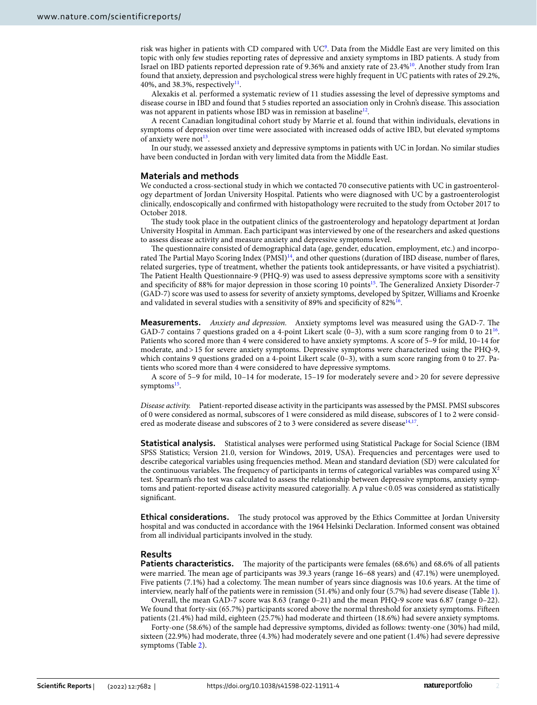risk was higher in patients with CD compared with  $\rm{UC}^9.$  $\rm{UC}^9.$  $\rm{UC}^9.$  Data from the Middle East are very limited on this topic with only few studies reporting rates of depressive and anxiety symptoms in IBD patients. A study from Israel on IBD patients reported depression rate of 9.36% and anxiety rate of 23.4[%10.](#page-6-9) Another study from Iran found that anxiety, depression and psychological stress were highly frequent in UC patients with rates of 29.2%, 40%, and 38.3%, respectively $11$ .

Alexakis et al. performed a systematic review of 11 studies assessing the level of depressive symptoms and disease course in IBD and found that 5 studies reported an association only in Crohn's disease. Tis association was not apparent in patients whose IBD was in remission at baseline<sup>12</sup>.

A recent Canadian longitudinal cohort study by Marrie et al. found that within individuals, elevations in symptoms of depression over time were associated with increased odds of active IBD, but elevated symptoms of anxiety were not $^{13}$ .

In our study, we assessed anxiety and depressive symptoms in patients with UC in Jordan. No similar studies have been conducted in Jordan with very limited data from the Middle East.

#### **Materials and methods**

We conducted a cross-sectional study in which we contacted 70 consecutive patients with UC in gastroenterology department of Jordan University Hospital. Patients who were diagnosed with UC by a gastroenterologist clinically, endoscopically and confrmed with histopathology were recruited to the study from October 2017 to October 2018.

The study took place in the outpatient clinics of the gastroenterology and hepatology department at Jordan University Hospital in Amman. Each participant was interviewed by one of the researchers and asked questions to assess disease activity and measure anxiety and depressive symptoms level.

The questionnaire consisted of demographical data (age, gender, education, employment, etc.) and incorpo-rated The Partial Mayo Scoring Index (PMSI)<sup>[14](#page-6-13)</sup>, and other questions (duration of IBD disease, number of flares, related surgeries, type of treatment, whether the patients took antidepressants, or have visited a psychiatrist). The Patient Health Questionnaire-9 (PHQ-9) was used to assess depressive symptoms score with a sensitivity and specificity of 88% for major depression in those scoring 10 points<sup>15</sup>. The Generalized Anxiety Disorder-7 (GAD-7) score was used to assess for severity of anxiety symptoms, developed by Spitzer, Williams and Kroenke and validated in several studies with a sensitivity of 89% and specifcity of 82%[16](#page-6-15).

**Measurements.** *Anxiety and depression.* Anxiety symptoms level was measured using the GAD-7. Te GAD-7 contains 7 questions graded on a 4-point Likert scale  $(0-3)$ , with a sum score ranging from 0 to 21<sup>[16](#page-6-15)</sup>. Patients who scored more than 4 were considered to have anxiety symptoms. A score of 5–9 for mild, 10–14 for moderate, and>15 for severe anxiety symptoms. Depressive symptoms were characterized using the PHQ-9, which contains 9 questions graded on a 4-point Likert scale (0–3), with a sum score ranging from 0 to 27. Patients who scored more than 4 were considered to have depressive symptoms.

A score of 5–9 for mild, 10–14 for moderate, 15–19 for moderately severe and > 20 for severe depressive symptoms<sup>15</sup>.

*Disease activity.* Patient-reported disease activity in the participants was assessed by the PMSI. PMSI subscores of 0 were considered as normal, subscores of 1 were considered as mild disease, subscores of 1 to 2 were consid-ered as moderate disease and subscores of 2 to 3 were considered as severe disease<sup>[14](#page-6-13)[,17](#page-6-16)</sup>.

**Statistical analysis.** Statistical analyses were performed using Statistical Package for Social Science (IBM SPSS Statistics; Version 21.0, version for Windows, 2019, USA). Frequencies and percentages were used to describe categorical variables using frequencies method. Mean and standard deviation (SD) were calculated for the continuous variables. The frequency of participants in terms of categorical variables was compared using  $X^2$ test. Spearman's rho test was calculated to assess the relationship between depressive symptoms, anxiety symptoms and patient-reported disease activity measured categorially. A p value <0.05 was considered as statistically signifcant.

**Ethical considerations.** The study protocol was approved by the Ethics Committee at Jordan University hospital and was conducted in accordance with the 1964 Helsinki Declaration. Informed consent was obtained from all individual participants involved in the study.

#### **Results**

**Patients characteristics.** The majority of the participants were females (68.6%) and 68.6% of all patients were married. The mean age of participants was  $39.3$  years (range 16–68 years) and  $(47.1%)$  were unemployed. Five patients (7.1%) had a colectomy. The mean number of years since diagnosis was 10.6 years. At the time of interview, nearly half of the patients were in remission (51.4%) and only four (5.7%) had severe disease (Table [1](#page-4-0)).

Overall, the mean GAD-7 score was 8.63 (range 0–21) and the mean PHQ-9 score was 6.87 (range 0–22). We found that forty-six (65.7%) participants scored above the normal threshold for anxiety symptoms. Fifeen patients (21.4%) had mild, eighteen (25.7%) had moderate and thirteen (18.6%) had severe anxiety symptoms.

Forty-one (58.6%) of the sample had depressive symptoms, divided as follows: twenty-one (30%) had mild, sixteen (22.9%) had moderate, three (4.3%) had moderately severe and one patient (1.4%) had severe depressive symptoms (Table [2](#page-4-1)).

2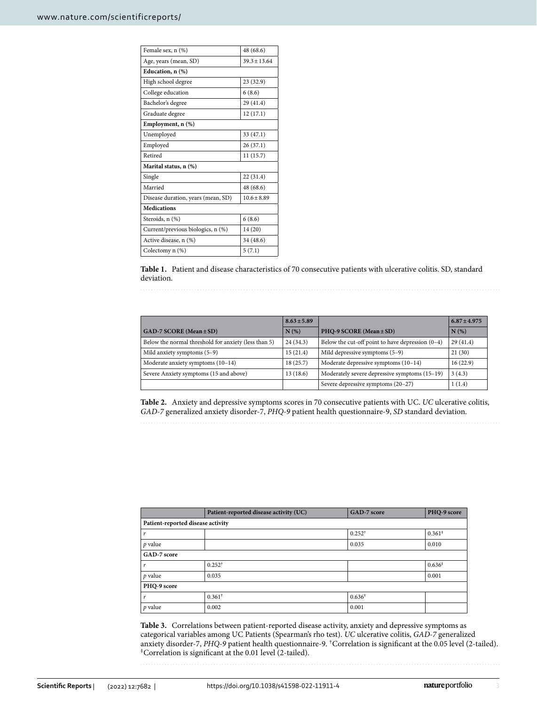| Female sex, n (%)                  | 48 (68.6)      |
|------------------------------------|----------------|
| Age, years (mean, SD)              | $39.3 + 13.64$ |
| Education, n (%)                   |                |
| High school degree                 | 23 (32.9)      |
| College education                  | 6(8.6)         |
| Bachelor's degree                  | 29 (41.4)      |
| Graduate degree                    | 12 (17.1)      |
| Employment, n (%)                  |                |
| Unemployed                         | 33 (47.1)      |
| Employed                           | 26(37.1)       |
| Retired                            | 11(15.7)       |
| Marital status, n (%)              |                |
| Single                             | 22 (31.4)      |
| Married                            | 48 (68.6)      |
| Disease duration, years (mean, SD) | $10.6 + 8.89$  |
| <b>Medications</b>                 |                |
| Steroids, n (%)                    | 6(8.6)         |
| Current/previous biologics, n (%)  | 14 (20)        |
| Active disease, n (%)              | 34 (48.6)      |
| Colectomy n (%)                    | 5(7.1)         |
|                                    |                |

<span id="page-4-0"></span>**Table 1.** Patient and disease characteristics of 70 consecutive patients with ulcerative colitis. SD, standard deviation.

|                                                      | $8.63 \pm 5.89$ |                                                    | $6.87 \pm 4.975$ |
|------------------------------------------------------|-----------------|----------------------------------------------------|------------------|
| $GAD-7 SCORE (Mean \pm SD)$                          | N(%)            | PHQ-9 SCORE (Mean $\pm$ SD)                        | N(%)             |
| Below the normal threshold for anxiety (less than 5) | 24(34.3)        | Below the cut-off point to have depression $(0-4)$ | 29(41.4)         |
| Mild anxiety symptoms (5-9)                          | 15(21.4)        | Mild depressive symptoms (5-9)                     | 21(30)           |
| Moderate anxiety symptoms (10-14)                    | 18(25.7)        | Moderate depressive symptoms (10-14)               | 16(22.9)         |
| Severe Anxiety symptoms (15 and above)               | 13(18.6)        | Moderately severe depressive symptoms (15-19)      | 3(4.3)           |
|                                                      |                 | Severe depressive symptoms (20-27)                 | 1(1.4)           |

<span id="page-4-1"></span>**Table 2.** Anxiety and depressive symptoms scores in 70 consecutive patients with UC. *UC* ulcerative colitis, *GAD-7* generalized anxiety disorder-7, *PHQ-9* patient health questionnaire-9, *SD* standard deviation.

|                                   | Patient-reported disease activity (UC) | GAD-7 score        | PHQ-9 score |  |  |
|-----------------------------------|----------------------------------------|--------------------|-------------|--|--|
| Patient-reported disease activity |                                        |                    |             |  |  |
| $\boldsymbol{r}$                  |                                        | $0.252^+$          | $0.361^*$   |  |  |
| $p$ value                         |                                        | 0.035              | 0.010       |  |  |
| GAD-7 score                       |                                        |                    |             |  |  |
| $\boldsymbol{r}$                  | $0.252^+$                              |                    | $0.636*$    |  |  |
| $p$ value                         | 0.035                                  |                    | 0.001       |  |  |
| PHQ-9 score                       |                                        |                    |             |  |  |
| $\boldsymbol{r}$                  | $0.361^{\dagger}$                      | $0.636^{\ddagger}$ |             |  |  |
| $p$ value                         | 0.002                                  | 0.001              |             |  |  |

<span id="page-4-2"></span>**Table 3.** Correlations between patient-reported disease activity, anxiety and depressive symptoms as categorical variables among UC Patients (Spearman's rho test). *UC* ulcerative colitis, *GAD-7* generalized anxiety disorder-7, *PHQ-9* patient health questionnaire-9. <sup>†</sup>Correlation is significant at the 0.05 level (2-tailed). <sup>‡</sup>Correlation is significant at the 0.01 level (2-tailed).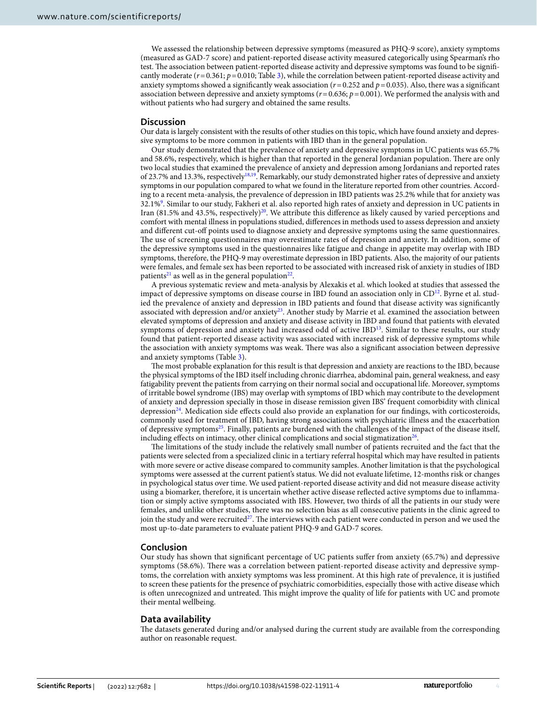We assessed the relationship between depressive symptoms (measured as PHQ-9 score), anxiety symptoms (measured as GAD-7 score) and patient-reported disease activity measured categorically using Spearman's rho test. The association between patient-reported disease activity and depressive symptoms was found to be significantly moderate ( $r$ =0.361;  $p$ =0.010; Table [3](#page-4-2)), while the correlation between patient-reported disease activity and anxiety symptoms showed a signifcantly weak association (*r*=0.252 and *p*=0.035). Also, there was a signifcant association between depressive and anxiety symptoms (*r*=0.636; *p*=0.001). We performed the analysis with and without patients who had surgery and obtained the same results.

#### **Discussion**

Our data is largely consistent with the results of other studies on this topic, which have found anxiety and depressive symptoms to be more common in patients with IBD than in the general population.

Our study demonstrated that the prevalence of anxiety and depressive symptoms in UC patients was 65.7% and 58.6%, respectively, which is higher than that reported in the general Jordanian population. There are only two local studies that examined the prevalence of anxiety and depression among Jordanians and reported rates of 23.7% and 13.3%, respectively<sup>18,19</sup>. Remarkably, our study demonstrated higher rates of depressive and anxiety symptoms in our population compared to what we found in the literature reported from other countries. According to a recent meta-analysis, the prevalence of depression in IBD patients was 25.2% while that for anxiety was 32.1%[9](#page-6-8) . Similar to our study, Fakheri et al. also reported high rates of anxiety and depression in UC patients in Iran (81.5% and 43.5%, respectively)<sup>20</sup>. We attribute this difference as likely caused by varied perceptions and comfort with mental illness in populations studied, diferences in methods used to assess depression and anxiety and diferent cut-of points used to diagnose anxiety and depressive symptoms using the same questionnaires. The use of screening questionnaires may overestimate rates of depression and anxiety. In addition, some of the depressive symptoms used in the questionnaires like fatigue and change in appetite may overlap with IBD symptoms, therefore, the PHQ-9 may overestimate depression in IBD patients. Also, the majority of our patients were females, and female sex has been reported to be associated with increased risk of anxiety in studies of IBD patients<sup>[21](#page-6-20)</sup> as well as in the general population<sup>[22](#page-6-21)</sup>.

A previous systematic review and meta-analysis by Alexakis et al. which looked at studies that assessed the impact of depressive symptoms on disease course in IBD found an association only in  $CD<sup>12</sup>$ . Byrne et al. studied the prevalence of anxiety and depression in IBD patients and found that disease activity was signifcantly associated with depression and/or anxiety<sup>23</sup>. Another study by Marrie et al. examined the association between elevated symptoms of depression and anxiety and disease activity in IBD and found that patients with elevated symptoms of depression and anxiety had increased odd of active IBD<sup>13</sup>. Similar to these results, our study found that patient-reported disease activity was associated with increased risk of depressive symptoms while the association with anxiety symptoms was weak. There was also a significant association between depressive and anxiety symptoms (Table [3](#page-4-2)).

The most probable explanation for this result is that depression and anxiety are reactions to the IBD, because the physical symptoms of the IBD itself including chronic diarrhea, abdominal pain, general weakness, and easy fatigability prevent the patients from carrying on their normal social and occupational life. Moreover, symptoms of irritable bowel syndrome (IBS) may overlap with symptoms of IBD which may contribute to the development of anxiety and depression specially in those in disease remission given IBS' frequent comorbidity with clinical depression<sup>24</sup>. Medication side effects could also provide an explanation for our findings, with corticosteroids, commonly used for treatment of IBD, having strong associations with psychiatric illness and the exacerbation of depressive symptom[s25.](#page-6-24) Finally, patients are burdened with the challenges of the impact of the disease itself, including effects on intimacy, other clinical complications and social stigmatization<sup>[26](#page-6-25)</sup>.

The limitations of the study include the relatively small number of patients recruited and the fact that the patients were selected from a specialized clinic in a tertiary referral hospital which may have resulted in patients with more severe or active disease compared to community samples. Another limitation is that the psychological symptoms were assessed at the current patient's status. We did not evaluate lifetime, 12-months risk or changes in psychological status over time. We used patient-reported disease activity and did not measure disease activity using a biomarker, therefore, it is uncertain whether active disease refected active symptoms due to infammation or simply active symptoms associated with IBS. However, two thirds of all the patients in our study were females, and unlike other studies, there was no selection bias as all consecutive patients in the clinic agreed to join the study and were recruited<sup>27</sup>. The interviews with each patient were conducted in person and we used the most up-to-date parameters to evaluate patient PHQ-9 and GAD-7 scores.

#### **Conclusion**

Our study has shown that signifcant percentage of UC patients sufer from anxiety (65.7%) and depressive symptoms (58.6%). There was a correlation between patient-reported disease activity and depressive symptoms, the correlation with anxiety symptoms was less prominent. At this high rate of prevalence, it is justifed to screen these patients for the presence of psychiatric comorbidities, especially those with active disease which is ofen unrecognized and untreated. Tis might improve the quality of life for patients with UC and promote their mental wellbeing.

#### **Data availability**

The datasets generated during and/or analysed during the current study are available from the corresponding author on reasonable request.

4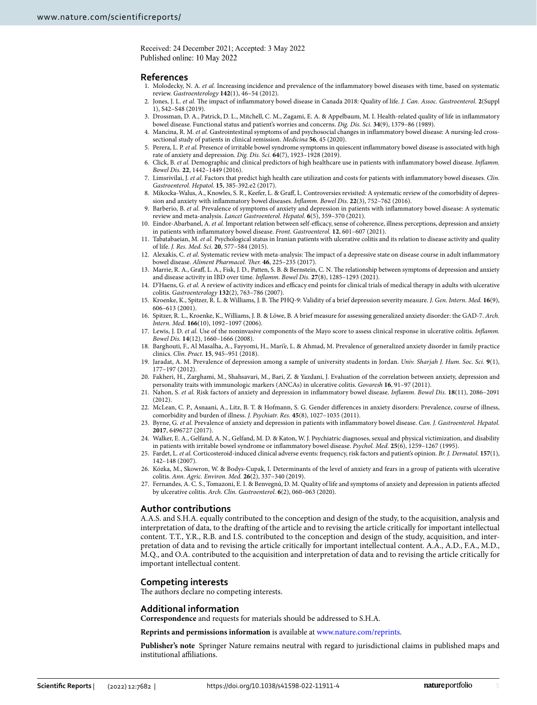Received: 24 December 2021; Accepted: 3 May 2022 Published online: 10 May 2022

#### **References**

- <span id="page-6-0"></span>1. Molodecky, N. A. *et al.* Increasing incidence and prevalence of the infammatory bowel diseases with time, based on systematic review. *Gastroenterology* **142**(1), 46–54 (2012).
- <span id="page-6-1"></span>2. Jones, J. L. *et al.* Te impact of infammatory bowel disease in Canada 2018: Quality of life. *J. Can. Assoc. Gastroenterol.* **2**(Suppl 1), S42–S48 (2019).
- <span id="page-6-2"></span>3. Drossman, D. A., Patrick, D. L., Mitchell, C. M., Zagami, E. A. & Appelbaum, M. I. Health-related quality of life in infammatory bowel disease. Functional status and patient's worries and concerns. *Dig. Dis. Sci.* **34**(9), 1379–86 (1989).
- <span id="page-6-3"></span>4. Mancina, R. M. *et al.* Gastrointestinal symptoms of and psychosocial changes in infammatory bowel disease: A nursing-led crosssectional study of patients in clinical remission. *Medicina* **56**, 45 (2020).
- <span id="page-6-4"></span>5. Perera, L. P. *et al.* Presence of irritable bowel syndrome symptoms in quiescent infammatory bowel disease is associated with high rate of anxiety and depression. *Dig. Dis. Sci.* **64**(7), 1923–1928 (2019).
- <span id="page-6-5"></span>6. Click, B. *et al.* Demographic and clinical predictors of high healthcare use in patients with infammatory bowel disease. *Infamm. Bowel Dis.* **22**, 1442–1449 (2016).
- <span id="page-6-6"></span>7. Limsrivilai, J. *et al.* Factors that predict high health care utilization and costs for patients with infammatory bowel diseases. *Clin. Gastroenterol. Hepatol.* **15**, 385-392.e2 (2017).
- <span id="page-6-7"></span>8. Mikocka-Walus, A., Knowles, S. R., Keefer, L. & Graf, L. Controversies revisited: A systematic review of the comorbidity of depression and anxiety with infammatory bowel diseases. *Infamm. Bowel Dis.* **22**(3), 752–762 (2016).
- <span id="page-6-8"></span>9. Barberio, B. *et al.* Prevalence of symptoms of anxiety and depression in patients with infammatory bowel disease: A systematic review and meta-analysis. *Lancet Gastroenterol. Hepatol.* **6**(5), 359–370 (2021).
- <span id="page-6-9"></span>10. Eindor-Abarbanel, A. et al. Important relation between self-efficacy, sense of coherence, illness perceptions, depression and anxiety in patients with infammatory bowel disease. *Front. Gastroenterol.* **12**, 601–607 (2021).
- <span id="page-6-10"></span>11. Tabatabaeian, M. *et al.* Psychological status in Iranian patients with ulcerative colitis and its relation to disease activity and quality of life. *J. Res. Med. Sci.* **20**, 577–584 (2015).
- <span id="page-6-11"></span>12. Alexakis, C. et al. Systematic review with meta-analysis: The impact of a depressive state on disease course in adult inflammatory bowel disease. *Aliment Pharmacol. Ther.* 46, 225-235 (2017).
- <span id="page-6-12"></span>13. Marrie, R. A., Graf, L. A., Fisk, J. D., Patten, S. B. & Bernstein, C. N. Te relationship between symptoms of depression and anxiety and disease activity in IBD over time. *Infamm. Bowel Dis.* **27**(8), 1285–1293 (2021).
- <span id="page-6-13"></span>14. D'Haens, G. et al. A review of activity indices and efficacy end points for clinical trials of medical therapy in adults with ulcerative colitis. *Gastroenterology* **132**(2), 763–786 (2007).
- <span id="page-6-14"></span>15. Kroenke, K., Spitzer, R. L. & Williams, J. B. Te PHQ-9: Validity of a brief depression severity measure. *J. Gen. Intern. Med.* **16**(9), 606–613 (2001).
- <span id="page-6-15"></span>16. Spitzer, R. L., Kroenke, K., Williams, J. B. & Löwe, B. A brief measure for assessing generalized anxiety disorder: the GAD-7. *Arch. Intern. Med.* **166**(10), 1092–1097 (2006).
- <span id="page-6-16"></span>17. Lewis, J. D. *et al.* Use of the noninvasive components of the Mayo score to assess clinical response in ulcerative colitis. *Infamm. Bowel Dis.* **14**(12), 1660–1666 (2008).
- <span id="page-6-17"></span>18. Barghouti, F., Al Masalha, A., Fayyomi, H., Mari'e, L. & Ahmad, M. Prevalence of generalized anxiety disorder in family practice clinics. *Clin. Pract.* **15**, 945–951 (2018).
- <span id="page-6-18"></span>19. Jaradat, A. M. Prevalence of depression among a sample of university students in Jordan. *Univ. Sharjah J. Hum. Soc. Sci.* **9**(1), 177–197 (2012).
- <span id="page-6-19"></span>20. Fakheri, H., Zarghami, M., Shahsavari, M., Bari, Z. & Yazdani, J. Evaluation of the correlation between anxiety, depression and personality traits with immunologic markers (ANCAs) in ulcerative colitis. *Govaresh* **16**, 91–97 (2011).
- <span id="page-6-20"></span>21. Nahon, S. *et al.* Risk factors of anxiety and depression in infammatory bowel disease. *Infamm. Bowel Dis.* **18**(11), 2086–2091  $(2012)$
- <span id="page-6-21"></span>22. McLean, C. P., Asnaani, A., Litz, B. T. & Hofmann, S. G. Gender diferences in anxiety disorders: Prevalence, course of illness, comorbidity and burden of illness. *J. Psychiatr. Res.* **45**(8), 1027–1035 (2011).
- <span id="page-6-22"></span>23. Byrne, G. *et al.* Prevalence of anxiety and depression in patients with infammatory bowel disease. *Can. J. Gastroenterol. Hepatol.* **2017**, 6496727 (2017).
- <span id="page-6-23"></span>24. Walker, E. A., Gelfand, A. N., Gelfand, M. D. & Katon, W. J. Psychiatric diagnoses, sexual and physical victimization, and disability in patients with irritable bowel syndrome or infammatory bowel disease. *Psychol. Med.* **25**(6), 1259–1267 (1995).
- <span id="page-6-24"></span>25. Fardet, L. *et al.* Corticosteroid-induced clinical adverse events: frequency, risk factors and patient's opinion. *Br. J. Dermatol.* **157**(1), 142–148 (2007).
- <span id="page-6-25"></span>26. Kózka, M., Skowron, W. & Bodys-Cupak, I. Determinants of the level of anxiety and fears in a group of patients with ulcerative colitis. *Ann. Agric. Environ. Med.* **26**(2), 337–340 (2019).
- <span id="page-6-26"></span>27. Fernandes, A. C. S., Tomazoni, E. I. & Benvegnú, D. M. Quality of life and symptoms of anxiety and depression in patients afected by ulcerative colitis. *Arch. Clin. Gastroenterol.* **6**(2), 060–063 (2020).

#### **Author contributions**

A.A.S. and S.H.A. equally contributed to the conception and design of the study, to the acquisition, analysis and interpretation of data, to the drafing of the article and to revising the article critically for important intellectual content. T.T., Y.R., R.B. and I.S. contributed to the conception and design of the study, acquisition, and interpretation of data and to revising the article critically for important intellectual content. A.A., A.D., F.A., M.D., M.Q., and O.A. contributed to the acquisition and interpretation of data and to revising the article critically for important intellectual content.

#### **Competing interests**

The authors declare no competing interests.

#### **Additional information**

**Correspondence** and requests for materials should be addressed to S.H.A.

**Reprints and permissions information** is available at [www.nature.com/reprints.](www.nature.com/reprints)

**Publisher's note** Springer Nature remains neutral with regard to jurisdictional claims in published maps and institutional afliations.